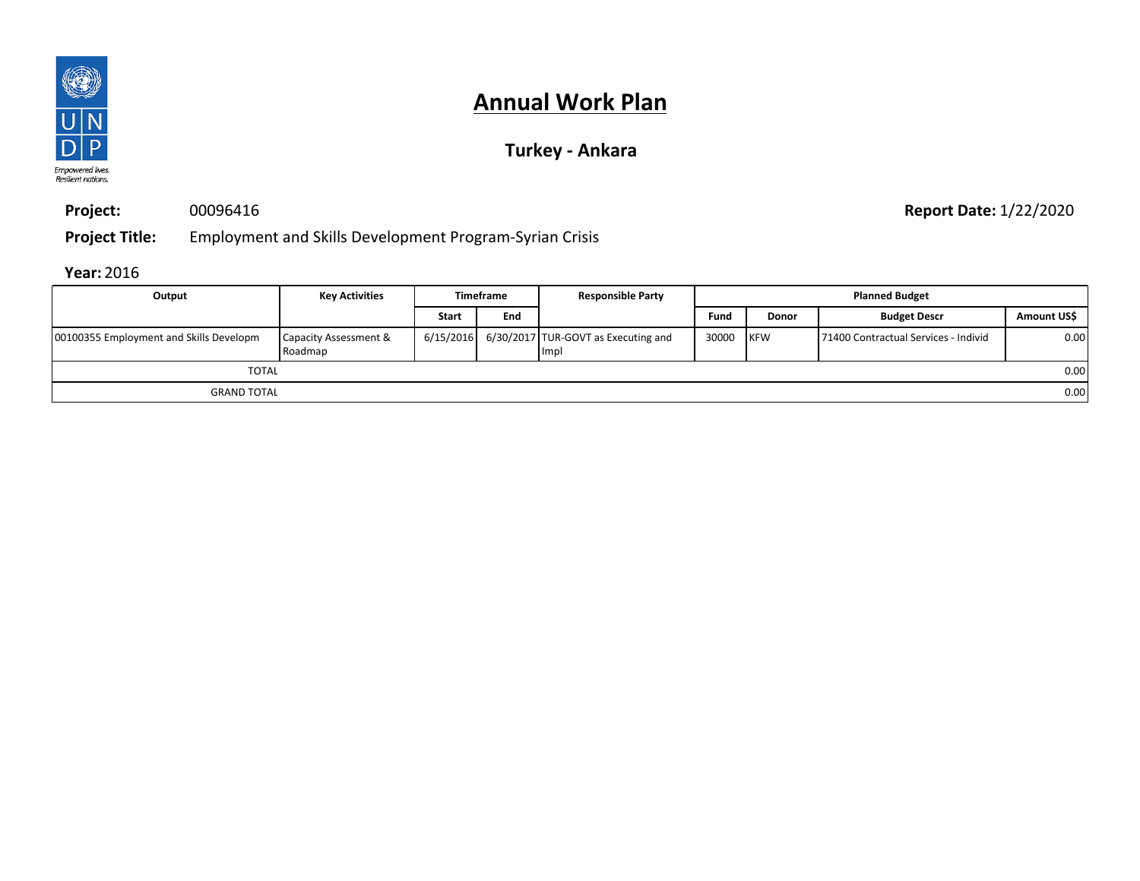

## **Turkey - Ankara**

**Project:** 00096416

**Report Date:** 1/22/2020

**Project Title:** Employment and Skills Development Program-Syrian Crisis

| Output                                  | <b>Key Activities</b>            |              | <b>Timeframe</b> | <b>Responsible Party</b>                                | <b>Planned Budget</b> |              |                                       |             |
|-----------------------------------------|----------------------------------|--------------|------------------|---------------------------------------------------------|-----------------------|--------------|---------------------------------------|-------------|
|                                         |                                  | <b>Start</b> | End              |                                                         | Fund                  | <b>Donor</b> | <b>Budget Descr</b>                   | Amount US\$ |
| 00100355 Employment and Skills Developm | Capacity Assessment &<br>Roadmap |              |                  | $6/15/2016$ 6/30/2017 TUR-GOVT as Executing and<br>Impl | 30000 KFW             |              | 171400 Contractual Services - Individ | 0.00        |
| <b>TOTAL</b>                            |                                  |              |                  |                                                         |                       |              |                                       | 0.00        |
| <b>GRAND TOTAL</b>                      |                                  |              |                  |                                                         |                       |              |                                       | 0.00        |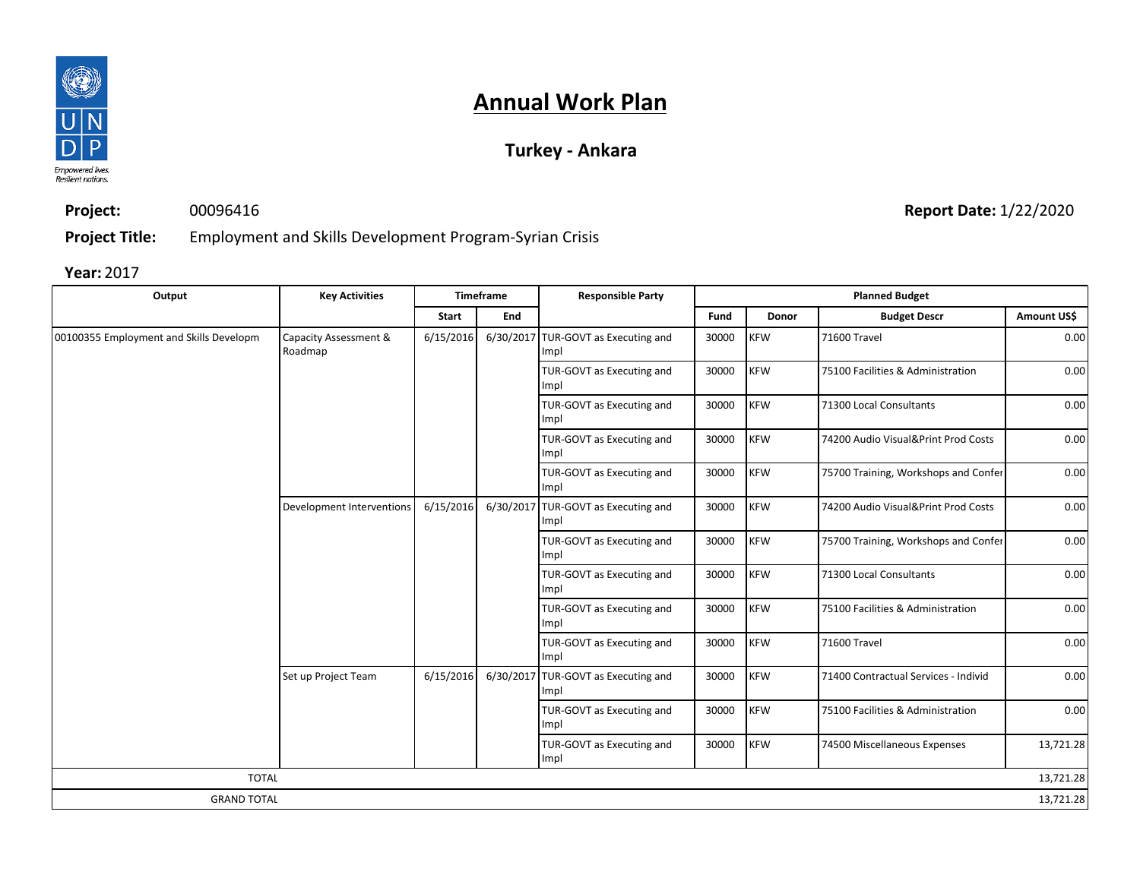

## **Turkey - Ankara**

**Project:** 00096416

**Report Date:** 1/22/2020

**Project Title:** Employment and Skills Development Program-Syrian Crisis

| Output                                  | <b>Key Activities</b>            |           | Timeframe | <b>Responsible Party</b>                    |             | <b>Planned Budget</b> |                                      |             |
|-----------------------------------------|----------------------------------|-----------|-----------|---------------------------------------------|-------------|-----------------------|--------------------------------------|-------------|
|                                         |                                  | Start     | End       |                                             | <b>Fund</b> | <b>Donor</b>          | <b>Budget Descr</b>                  | Amount US\$ |
| 00100355 Employment and Skills Developm | Capacity Assessment &<br>Roadmap | 6/15/2016 |           | 6/30/2017 TUR-GOVT as Executing and<br>Impl | 30000       | <b>KFW</b>            | 71600 Travel                         | 0.00        |
|                                         |                                  |           |           | TUR-GOVT as Executing and<br>Impl           | 30000       | <b>KFW</b>            | 75100 Facilities & Administration    | 0.00        |
|                                         |                                  |           |           | TUR-GOVT as Executing and<br>Impl           | 30000       | <b>KFW</b>            | 71300 Local Consultants              | 0.00        |
|                                         |                                  |           |           | TUR-GOVT as Executing and<br>Impl           | 30000       | <b>KFW</b>            | 74200 Audio Visual&Print Prod Costs  | 0.00        |
|                                         |                                  |           |           | TUR-GOVT as Executing and<br>Impl           | 30000       | <b>KFW</b>            | 75700 Training, Workshops and Confer | 0.00        |
|                                         | Development Interventions        | 6/15/2016 |           | 6/30/2017 TUR-GOVT as Executing and<br>Impl | 30000       | <b>KFW</b>            | 74200 Audio Visual&Print Prod Costs  | 0.00        |
|                                         |                                  |           |           | TUR-GOVT as Executing and<br>Impl           | 30000       | <b>KFW</b>            | 75700 Training, Workshops and Confer | 0.00        |
|                                         |                                  |           |           | TUR-GOVT as Executing and<br>Impl           | 30000       | <b>KFW</b>            | 71300 Local Consultants              | 0.00        |
|                                         |                                  |           |           | TUR-GOVT as Executing and<br>Impl           | 30000       | <b>KFW</b>            | 75100 Facilities & Administration    | 0.00        |
|                                         |                                  |           |           | TUR-GOVT as Executing and<br>Impl           | 30000       | <b>KFW</b>            | 71600 Travel                         | 0.00        |
|                                         | Set up Project Team              | 6/15/2016 |           | 6/30/2017 TUR-GOVT as Executing and<br>Impl | 30000       | <b>KFW</b>            | 71400 Contractual Services - Individ | 0.00        |
|                                         |                                  |           |           | TUR-GOVT as Executing and<br>Impl           | 30000       | <b>KFW</b>            | 75100 Facilities & Administration    | 0.00        |
|                                         |                                  |           |           | TUR-GOVT as Executing and<br>Impl           | 30000       | <b>KFW</b>            | 74500 Miscellaneous Expenses         | 13,721.28   |
| <b>TOTAL</b>                            |                                  |           |           |                                             |             |                       |                                      | 13,721.28   |
| <b>GRAND TOTAL</b>                      |                                  |           |           |                                             |             |                       |                                      | 13,721.28   |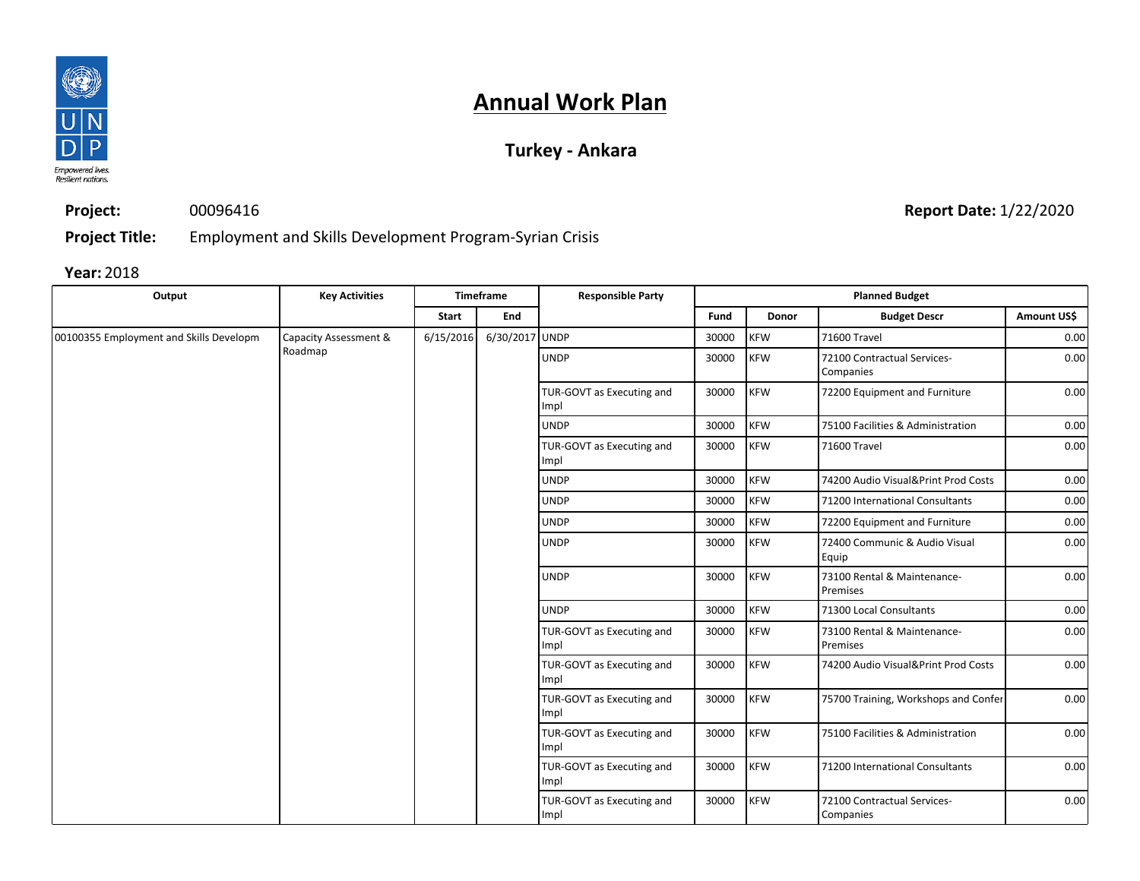

## **Turkey - Ankara**

**Project:** 00096416

**Report Date:** 1/22/2020

**Project Title:** Employment and Skills Development Program-Syrian Crisis

| Output                                  | <b>Key Activities</b> | Timeframe<br><b>Responsible Party</b> |                | <b>Planned Budget</b>             |             |              |                                          |                               |            |                                         |      |
|-----------------------------------------|-----------------------|---------------------------------------|----------------|-----------------------------------|-------------|--------------|------------------------------------------|-------------------------------|------------|-----------------------------------------|------|
|                                         |                       | <b>Start</b>                          | End            |                                   | Fund        | <b>Donor</b> | <b>Budget Descr</b>                      | Amount US\$                   |            |                                         |      |
| 00100355 Employment and Skills Developm | Capacity Assessment & | 6/15/2016                             | 6/30/2017 UNDP |                                   | 30000       | <b>KFW</b>   | 71600 Travel                             | 0.00                          |            |                                         |      |
|                                         | Roadmap               |                                       |                | <b>UNDP</b>                       | 30000       | <b>KFW</b>   | 72100 Contractual Services-<br>Companies | 0.00                          |            |                                         |      |
|                                         |                       |                                       |                | TUR-GOVT as Executing and<br>Impl | 30000       | <b>KFW</b>   | 72200 Equipment and Furniture            | 0.00                          |            |                                         |      |
|                                         |                       |                                       |                | <b>UNDP</b>                       | 30000       | <b>KFW</b>   | 75100 Facilities & Administration        | 0.00                          |            |                                         |      |
|                                         |                       |                                       |                | TUR-GOVT as Executing and<br>Impl | 30000       | <b>KFW</b>   | 71600 Travel                             | 0.00                          |            |                                         |      |
|                                         |                       |                                       |                | <b>UNDP</b>                       | 30000       | <b>KFW</b>   | 74200 Audio Visual&Print Prod Costs      | 0.00                          |            |                                         |      |
|                                         |                       |                                       |                | <b>UNDP</b>                       | 30000       | <b>KFW</b>   | 71200 International Consultants          | 0.00                          |            |                                         |      |
|                                         |                       |                                       |                |                                   | <b>UNDP</b> | 30000        | <b>KFW</b>                               | 72200 Equipment and Furniture | 0.00       |                                         |      |
|                                         |                       |                                       |                | <b>UNDP</b>                       | 30000       | <b>KFW</b>   | 72400 Communic & Audio Visual<br>Equip   | 0.00                          |            |                                         |      |
|                                         |                       |                                       |                |                                   |             |              | <b>UNDP</b>                              | 30000                         | <b>KFW</b> | 73100 Rental & Maintenance-<br>Premises | 0.00 |
|                                         |                       |                                       |                | <b>UNDP</b>                       | 30000       | <b>KFW</b>   | 71300 Local Consultants                  | 0.00                          |            |                                         |      |
|                                         |                       |                                       |                | TUR-GOVT as Executing and<br>Impl | 30000       | <b>KFW</b>   | 73100 Rental & Maintenance-<br>Premises  | 0.00                          |            |                                         |      |
|                                         |                       |                                       |                | TUR-GOVT as Executing and<br>Impl | 30000       | <b>KFW</b>   | 74200 Audio Visual&Print Prod Costs      | 0.00                          |            |                                         |      |
|                                         |                       |                                       |                | TUR-GOVT as Executing and<br>Impl | 30000       | <b>KFW</b>   | 75700 Training, Workshops and Confer     | 0.00                          |            |                                         |      |
|                                         |                       |                                       |                | TUR-GOVT as Executing and<br>Impl | 30000       | <b>KFW</b>   | 75100 Facilities & Administration        | 0.00                          |            |                                         |      |
|                                         |                       |                                       |                |                                   |             |              | TUR-GOVT as Executing and<br>Impl        | 30000                         | <b>KFW</b> | 71200 International Consultants         | 0.00 |
|                                         |                       |                                       |                | TUR-GOVT as Executing and<br>Impl | 30000       | <b>KFW</b>   | 72100 Contractual Services-<br>Companies | 0.00                          |            |                                         |      |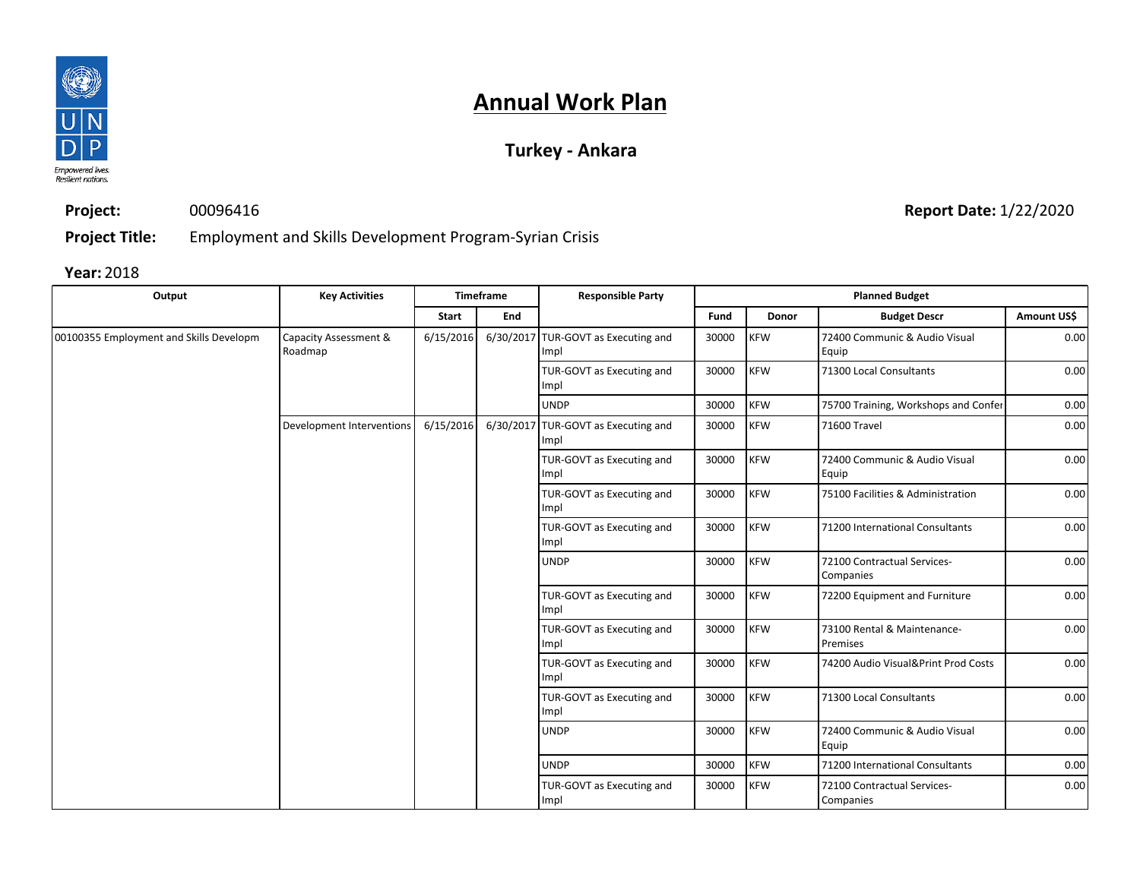

## **Turkey - Ankara**

**Project:** 00096416

**Report Date:** 1/22/2020

**Project Title:** Employment and Skills Development Program-Syrian Crisis

| Output                                  | <b>Key Activities</b>            |           | <b>Timeframe</b> | <b>Responsible Party</b>                    |                                   |            | <b>Planned Budget</b>                    |                                     |
|-----------------------------------------|----------------------------------|-----------|------------------|---------------------------------------------|-----------------------------------|------------|------------------------------------------|-------------------------------------|
|                                         |                                  | Start     | End              |                                             | Fund                              | Donor      | <b>Budget Descr</b>                      | Amount US\$                         |
| 00100355 Employment and Skills Developm | Capacity Assessment &<br>Roadmap | 6/15/2016 |                  | 6/30/2017 TUR-GOVT as Executing and<br>Impl | 30000                             | <b>KFW</b> | 72400 Communic & Audio Visual<br>Equip   | 0.00                                |
|                                         |                                  |           |                  | TUR-GOVT as Executing and<br>Impl           | 30000                             | <b>KFW</b> | 71300 Local Consultants                  | 0.00                                |
|                                         |                                  |           |                  | <b>UNDP</b>                                 | 30000                             | <b>KFW</b> | 75700 Training, Workshops and Confer     | 0.00                                |
|                                         | Development Interventions        | 6/15/2016 |                  | 6/30/2017 TUR-GOVT as Executing and<br>Impl | 30000                             | <b>KFW</b> | 71600 Travel                             | 0.00                                |
|                                         |                                  |           |                  | TUR-GOVT as Executing and<br>Impl           | 30000                             | <b>KFW</b> | 72400 Communic & Audio Visual<br>Equip   | 0.00                                |
|                                         |                                  |           |                  | TUR-GOVT as Executing and<br>Impl           | 30000                             | <b>KFW</b> | 75100 Facilities & Administration        | 0.00                                |
|                                         |                                  |           |                  | TUR-GOVT as Executing and<br>Impl           | 30000                             | <b>KFW</b> | 71200 International Consultants          | 0.00                                |
|                                         |                                  |           |                  | <b>UNDP</b>                                 | 30000                             | <b>KFW</b> | 72100 Contractual Services-<br>Companies | 0.00                                |
|                                         |                                  |           |                  | TUR-GOVT as Executing and<br>Impl           | 30000                             | <b>KFW</b> | 72200 Equipment and Furniture            | 0.00                                |
|                                         |                                  |           |                  | TUR-GOVT as Executing and<br>Impl           | 30000                             | <b>KFW</b> | 73100 Rental & Maintenance-<br>Premises  | 0.00                                |
|                                         |                                  |           |                  |                                             | TUR-GOVT as Executing and<br>Impl | 30000      | <b>KFW</b>                               | 74200 Audio Visual&Print Prod Costs |
|                                         |                                  |           |                  | TUR-GOVT as Executing and<br>Impl           | 30000                             | <b>KFW</b> | 71300 Local Consultants                  | 0.00                                |
|                                         |                                  |           |                  | <b>UNDP</b>                                 | 30000                             | <b>KFW</b> | 72400 Communic & Audio Visual<br>Equip   | 0.00                                |
|                                         |                                  |           |                  | <b>UNDP</b>                                 | 30000                             | <b>KFW</b> | 71200 International Consultants          | 0.00                                |
|                                         |                                  |           |                  | TUR-GOVT as Executing and<br>Impl           | 30000                             | <b>KFW</b> | 72100 Contractual Services-<br>Companies | 0.00                                |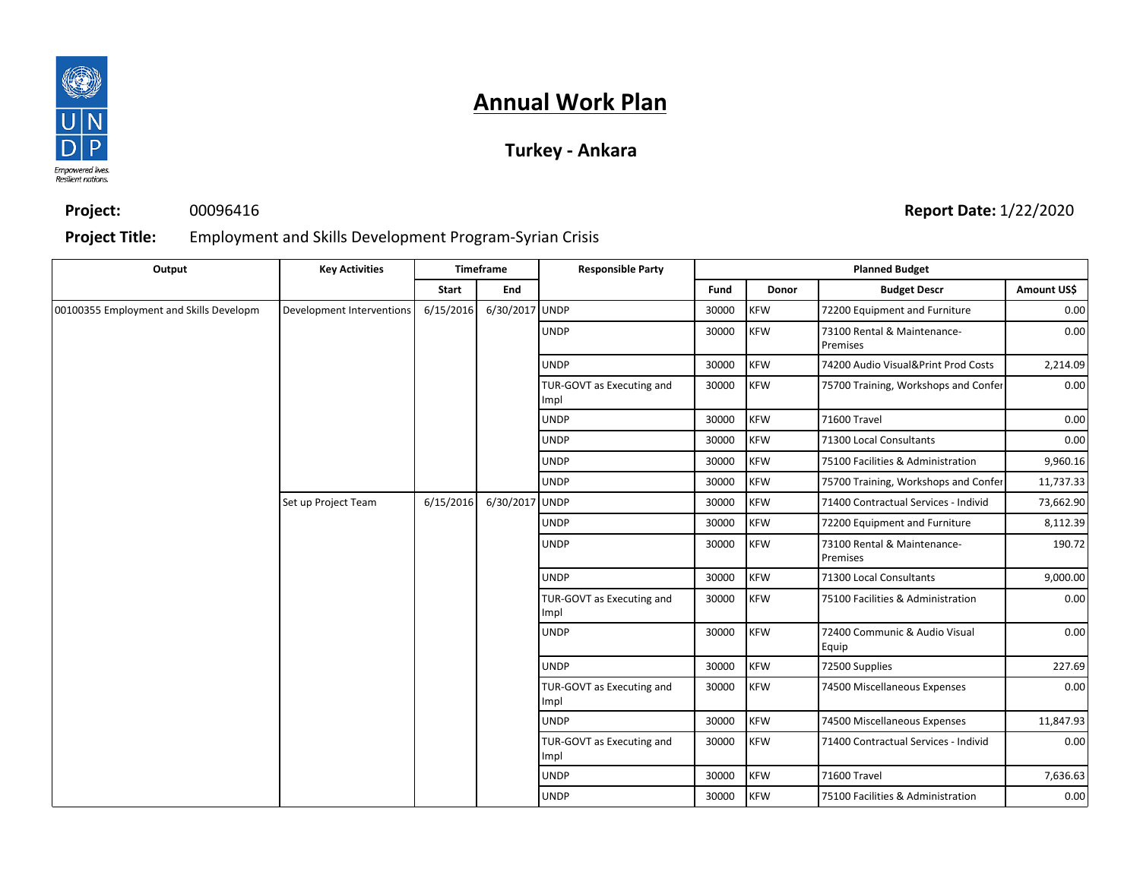

## **Turkey - Ankara**

**Project:**

## 00096416

### **Report Date:** 1/22/2020

#### **Project Title:** Employment and Skills Development Program-Syrian Crisis

| Output                                  | <b>Key Activities</b>     |           | Timeframe      | <b>Responsible Party</b>          | <b>Planned Budget</b> |            |                                         |                                   |       |            |                                      |
|-----------------------------------------|---------------------------|-----------|----------------|-----------------------------------|-----------------------|------------|-----------------------------------------|-----------------------------------|-------|------------|--------------------------------------|
|                                         |                           | Start     | End            |                                   | Fund                  | Donor      | <b>Budget Descr</b>                     | Amount US\$                       |       |            |                                      |
| 00100355 Employment and Skills Developm | Development Interventions | 6/15/2016 | 6/30/2017 UNDP |                                   | 30000                 | <b>KFW</b> | 72200 Equipment and Furniture           | 0.00                              |       |            |                                      |
|                                         |                           |           |                | <b>UNDP</b>                       | 30000                 | <b>KFW</b> | 73100 Rental & Maintenance-<br>Premises | 0.00                              |       |            |                                      |
|                                         |                           |           |                | <b>UNDP</b>                       | 30000                 | <b>KFW</b> | 74200 Audio Visual&Print Prod Costs     | 2,214.09                          |       |            |                                      |
|                                         |                           |           |                | TUR-GOVT as Executing and<br>Impl | 30000                 | <b>KFW</b> | 75700 Training, Workshops and Confer    | 0.00                              |       |            |                                      |
|                                         |                           |           |                | <b>UNDP</b>                       | 30000                 | <b>KFW</b> | 71600 Travel                            | 0.00                              |       |            |                                      |
|                                         |                           |           |                | <b>UNDP</b>                       | 30000                 | <b>KFW</b> | 71300 Local Consultants                 | 0.00                              |       |            |                                      |
|                                         |                           |           |                | <b>UNDP</b>                       | 30000                 | <b>KFW</b> | 75100 Facilities & Administration       | 9,960.16                          |       |            |                                      |
|                                         |                           |           |                | <b>UNDP</b>                       | 30000                 | <b>KFW</b> | 75700 Training, Workshops and Confer    | 11,737.33                         |       |            |                                      |
|                                         | Set up Project Team       | 6/15/2016 | 6/30/2017 UNDP |                                   | 30000                 | <b>KFW</b> | 71400 Contractual Services - Individ    | 73,662.90                         |       |            |                                      |
|                                         |                           |           |                | <b>UNDP</b>                       | 30000                 | <b>KFW</b> | 72200 Equipment and Furniture           | 8,112.39                          |       |            |                                      |
|                                         |                           |           |                | <b>UNDP</b>                       | 30000                 | <b>KFW</b> | 73100 Rental & Maintenance-<br>Premises | 190.72                            |       |            |                                      |
|                                         |                           |           |                | <b>UNDP</b>                       | 30000                 | <b>KFW</b> | 71300 Local Consultants                 | 9,000.00                          |       |            |                                      |
|                                         |                           |           |                | TUR-GOVT as Executing and<br>Impl | 30000                 | <b>KFW</b> | 75100 Facilities & Administration       | 0.00                              |       |            |                                      |
|                                         |                           |           |                | <b>UNDP</b>                       | 30000                 | <b>KFW</b> | 72400 Communic & Audio Visual<br>Equip  | 0.00                              |       |            |                                      |
|                                         |                           |           |                | <b>UNDP</b>                       | 30000                 | <b>KFW</b> | 72500 Supplies                          | 227.69                            |       |            |                                      |
|                                         |                           |           |                | TUR-GOVT as Executing and<br>Impl | 30000                 | <b>KFW</b> | 74500 Miscellaneous Expenses            | 0.00                              |       |            |                                      |
|                                         |                           |           |                | <b>UNDP</b>                       | 30000                 | <b>KFW</b> | 74500 Miscellaneous Expenses            | 11,847.93                         |       |            |                                      |
|                                         |                           |           |                |                                   |                       |            |                                         | TUR-GOVT as Executing and<br>Impl | 30000 | <b>KFW</b> | 71400 Contractual Services - Individ |
|                                         |                           |           |                | <b>UNDP</b>                       | 30000                 | <b>KFW</b> | 71600 Travel                            | 7,636.63                          |       |            |                                      |
|                                         |                           |           |                | <b>UNDP</b>                       | 30000                 | <b>KFW</b> | 75100 Facilities & Administration       | 0.00                              |       |            |                                      |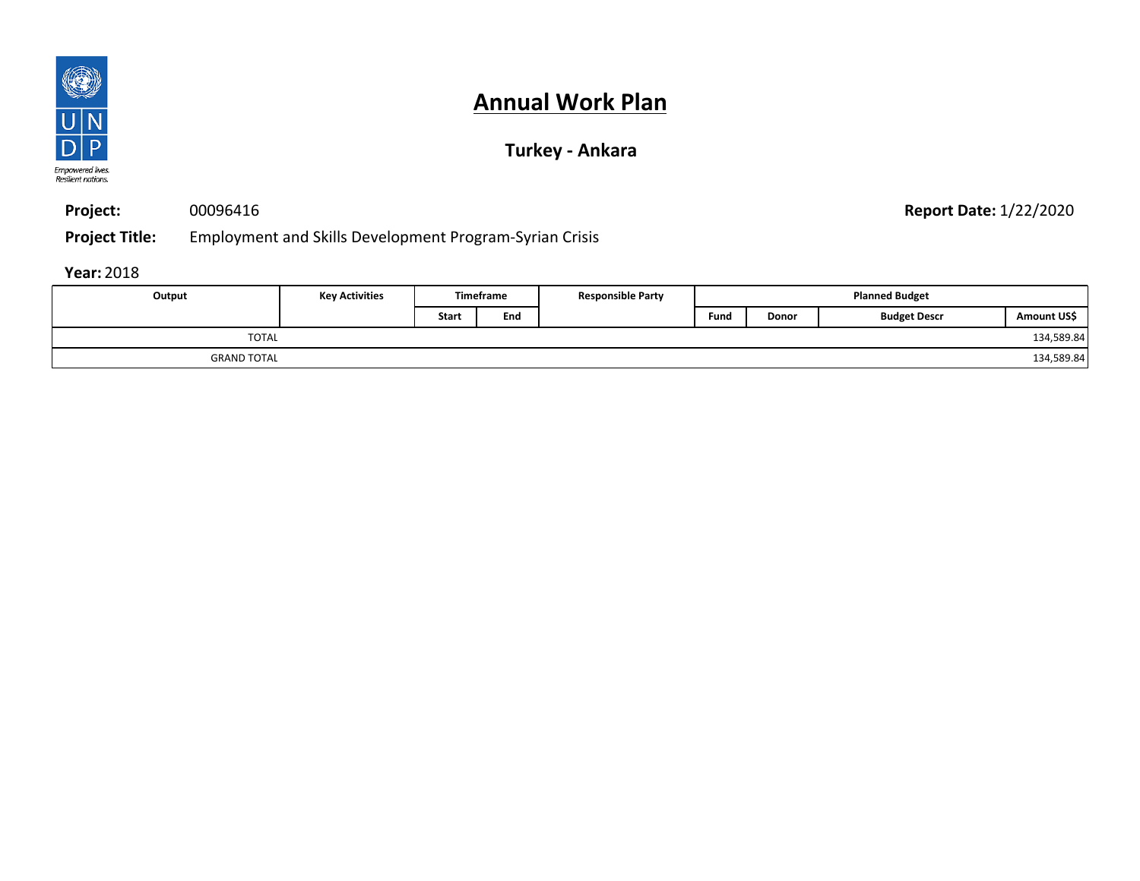

**Project:** 00096416 **Report Date:** 1/22/2020

**Project Title:** Employment and Skills Development Program-Syrian Crisis

| Output             | <b>Key Activities</b> |              | Timeframe | <b>Responsible Party</b> | <b>Planned Budget</b> |       |                     |                         |
|--------------------|-----------------------|--------------|-----------|--------------------------|-----------------------|-------|---------------------|-------------------------|
|                    |                       | <b>Start</b> | Ena       |                          | Fund                  | Donor | <b>Budget Descr</b> | Amount US\$             |
| <b>TOTAL</b>       |                       |              |           |                          |                       |       |                     | 134,589.84 <sup>1</sup> |
| <b>GRAND TOTAL</b> |                       |              |           |                          |                       |       |                     | 134,589.84              |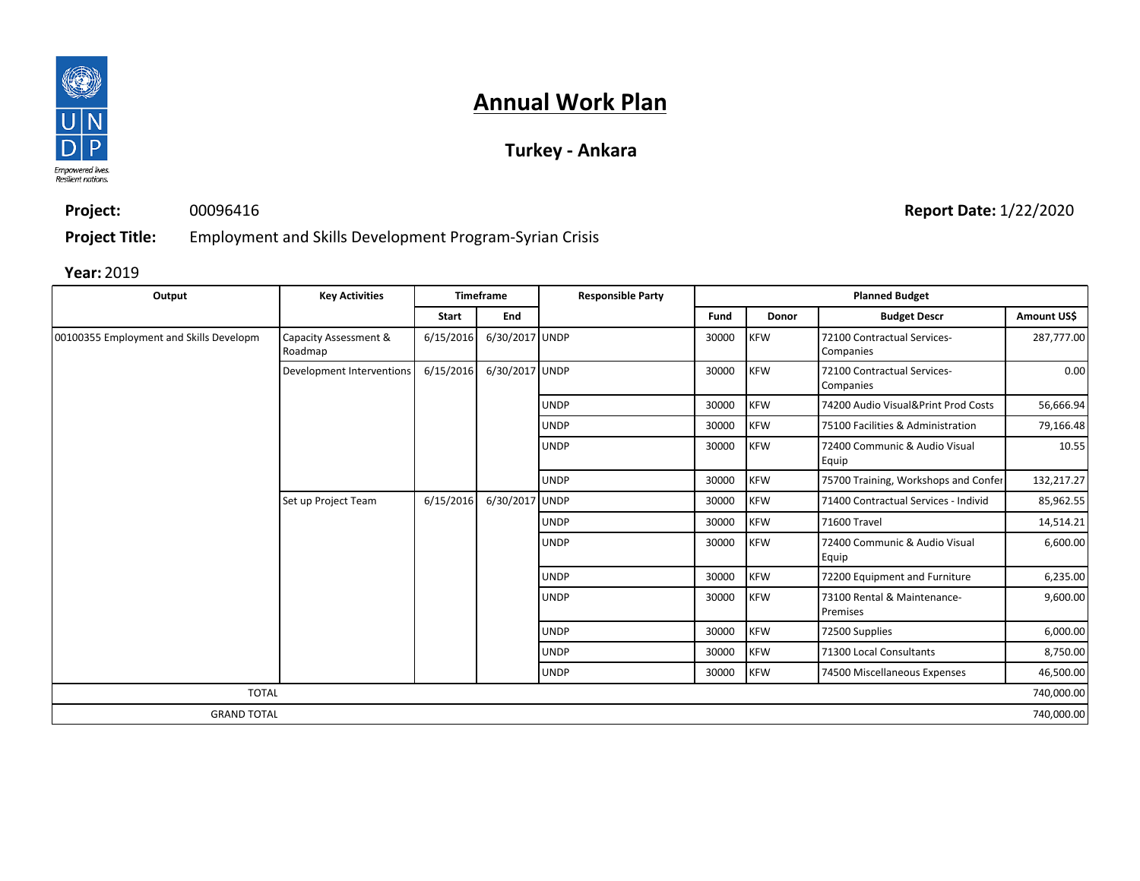

## **Turkey - Ankara**

**Project:** 00096416

**Report Date:** 1/22/2020

**Project Title:** Employment and Skills Development Program-Syrian Crisis

| Output                                  | <b>Key Activities</b>            |           | <b>Timeframe</b> | <b>Responsible Party</b> |       |            | <b>Planned Budget</b>                    |             |
|-----------------------------------------|----------------------------------|-----------|------------------|--------------------------|-------|------------|------------------------------------------|-------------|
|                                         |                                  | Start     | End              |                          | Fund  | Donor      | <b>Budget Descr</b>                      | Amount US\$ |
| 00100355 Employment and Skills Developm | Capacity Assessment &<br>Roadmap | 6/15/2016 | 6/30/2017 UNDP   |                          | 30000 | <b>KFW</b> | 72100 Contractual Services-<br>Companies | 287,777.00  |
|                                         | Development Interventions        | 6/15/2016 | 6/30/2017 UNDP   |                          | 30000 | <b>KFW</b> | 72100 Contractual Services-<br>Companies | 0.00        |
|                                         |                                  |           |                  | <b>UNDP</b>              | 30000 | <b>KFW</b> | 74200 Audio Visual&Print Prod Costs      | 56,666.94   |
|                                         |                                  |           |                  | <b>UNDP</b>              | 30000 | <b>KFW</b> | 75100 Facilities & Administration        | 79,166.48   |
|                                         |                                  |           |                  | <b>UNDP</b>              | 30000 | <b>KFW</b> | 72400 Communic & Audio Visual<br>Equip   | 10.55       |
|                                         |                                  |           |                  | <b>UNDP</b>              | 30000 | <b>KFW</b> | 75700 Training, Workshops and Confer     | 132,217.27  |
|                                         | Set up Project Team              | 6/15/2016 | 6/30/2017 UNDP   |                          | 30000 | <b>KFW</b> | 71400 Contractual Services - Individ     | 85,962.55   |
|                                         |                                  |           |                  | <b>UNDP</b>              | 30000 | <b>KFW</b> | 71600 Travel                             | 14,514.21   |
|                                         |                                  |           |                  | <b>UNDP</b>              | 30000 | <b>KFW</b> | 72400 Communic & Audio Visual<br>Equip   | 6,600.00    |
|                                         |                                  |           |                  | <b>UNDP</b>              | 30000 | <b>KFW</b> | 72200 Equipment and Furniture            | 6,235.00    |
|                                         |                                  |           |                  | <b>UNDP</b>              | 30000 | <b>KFW</b> | 73100 Rental & Maintenance-<br>Premises  | 9,600.00    |
|                                         |                                  |           |                  | <b>UNDP</b>              | 30000 | <b>KFW</b> | 72500 Supplies                           | 6,000.00    |
|                                         |                                  |           |                  | <b>UNDP</b>              | 30000 | <b>KFW</b> | 71300 Local Consultants                  | 8,750.00    |
|                                         |                                  |           |                  | <b>UNDP</b>              | 30000 | <b>KFW</b> | 74500 Miscellaneous Expenses             | 46,500.00   |
| <b>TOTAL</b>                            |                                  |           |                  |                          |       |            |                                          | 740,000.00  |
| <b>GRAND TOTAL</b>                      |                                  |           |                  |                          |       |            |                                          | 740,000.00  |